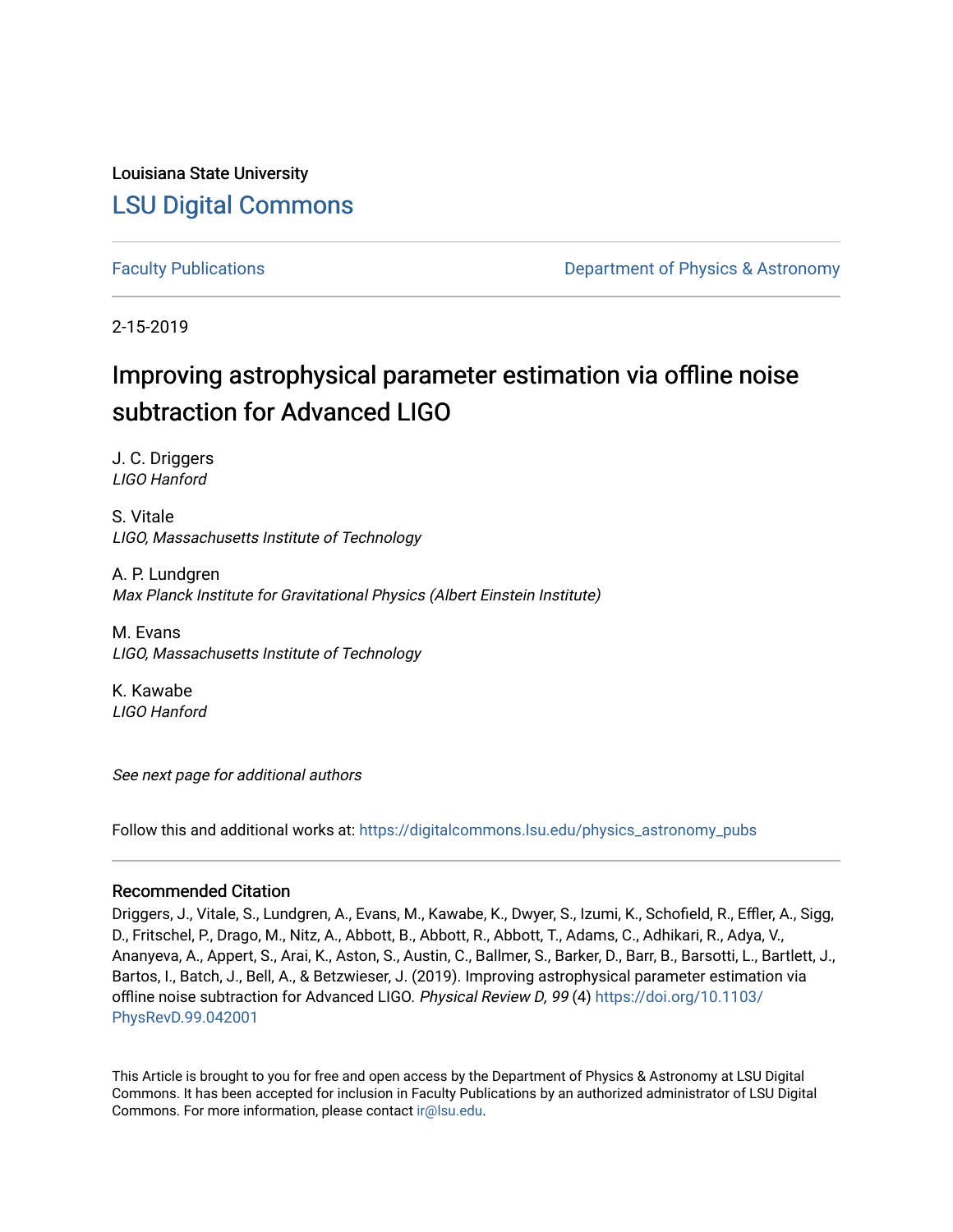Louisiana State University [LSU Digital Commons](https://digitalcommons.lsu.edu/)

[Faculty Publications](https://digitalcommons.lsu.edu/physics_astronomy_pubs) **Example 2** Constant Department of Physics & Astronomy

2-15-2019

## Improving astrophysical parameter estimation via offline noise subtraction for Advanced LIGO

J. C. Driggers LIGO Hanford

S. Vitale LIGO, Massachusetts Institute of Technology

A. P. Lundgren Max Planck Institute for Gravitational Physics (Albert Einstein Institute)

M. Evans LIGO, Massachusetts Institute of Technology

K. Kawabe LIGO Hanford

See next page for additional authors

Follow this and additional works at: [https://digitalcommons.lsu.edu/physics\\_astronomy\\_pubs](https://digitalcommons.lsu.edu/physics_astronomy_pubs?utm_source=digitalcommons.lsu.edu%2Fphysics_astronomy_pubs%2F1607&utm_medium=PDF&utm_campaign=PDFCoverPages) 

#### Recommended Citation

Driggers, J., Vitale, S., Lundgren, A., Evans, M., Kawabe, K., Dwyer, S., Izumi, K., Schofield, R., Effler, A., Sigg, D., Fritschel, P., Drago, M., Nitz, A., Abbott, B., Abbott, R., Abbott, T., Adams, C., Adhikari, R., Adya, V., Ananyeva, A., Appert, S., Arai, K., Aston, S., Austin, C., Ballmer, S., Barker, D., Barr, B., Barsotti, L., Bartlett, J., Bartos, I., Batch, J., Bell, A., & Betzwieser, J. (2019). Improving astrophysical parameter estimation via offline noise subtraction for Advanced LIGO. Physical Review D, 99 (4) [https://doi.org/10.1103/](https://doi.org/10.1103/PhysRevD.99.042001) [PhysRevD.99.042001](https://doi.org/10.1103/PhysRevD.99.042001)

This Article is brought to you for free and open access by the Department of Physics & Astronomy at LSU Digital Commons. It has been accepted for inclusion in Faculty Publications by an authorized administrator of LSU Digital Commons. For more information, please contact [ir@lsu.edu](mailto:ir@lsu.edu).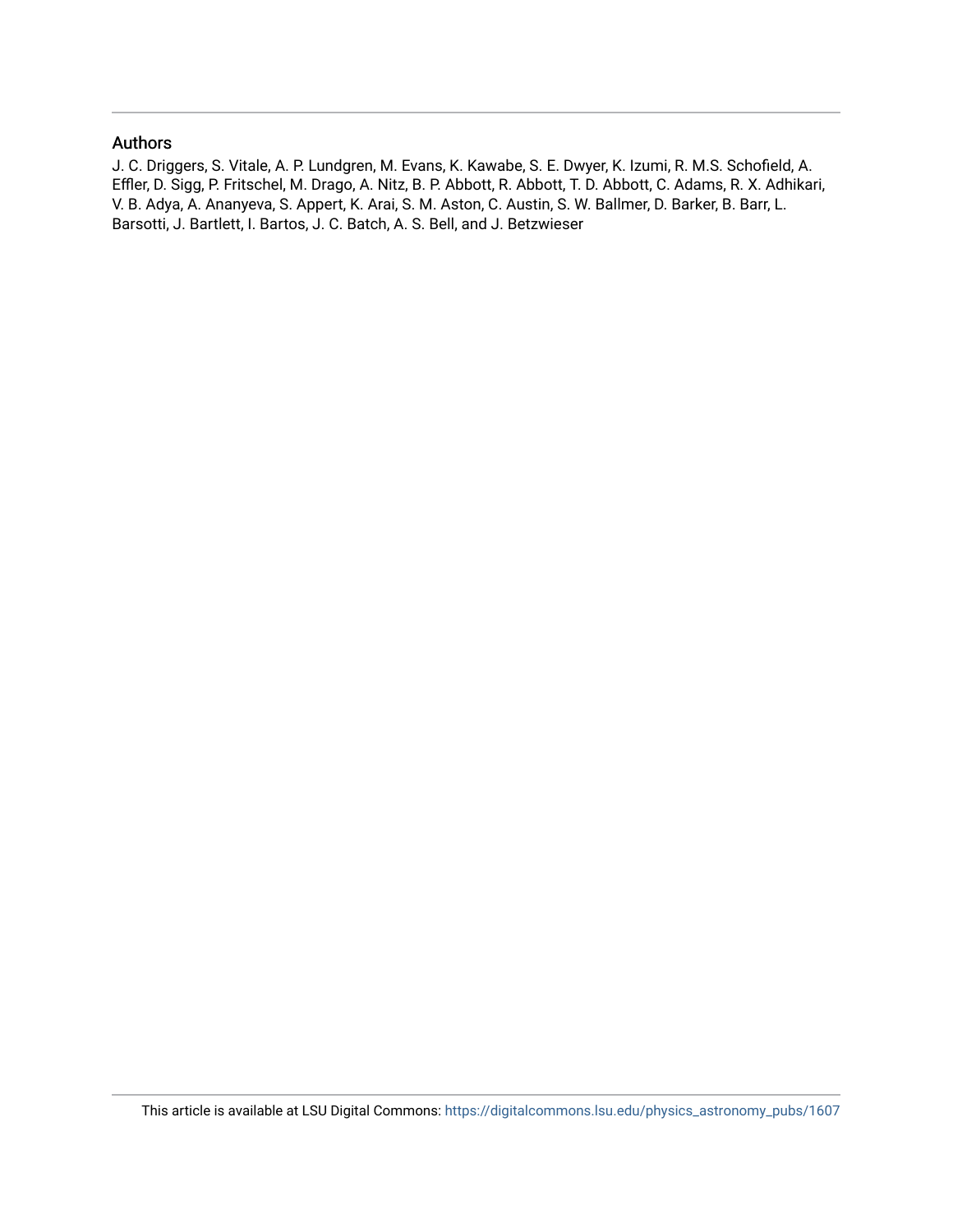### Authors

J. C. Driggers, S. Vitale, A. P. Lundgren, M. Evans, K. Kawabe, S. E. Dwyer, K. Izumi, R. M.S. Schofield, A. Effler, D. Sigg, P. Fritschel, M. Drago, A. Nitz, B. P. Abbott, R. Abbott, T. D. Abbott, C. Adams, R. X. Adhikari, V. B. Adya, A. Ananyeva, S. Appert, K. Arai, S. M. Aston, C. Austin, S. W. Ballmer, D. Barker, B. Barr, L. Barsotti, J. Bartlett, I. Bartos, J. C. Batch, A. S. Bell, and J. Betzwieser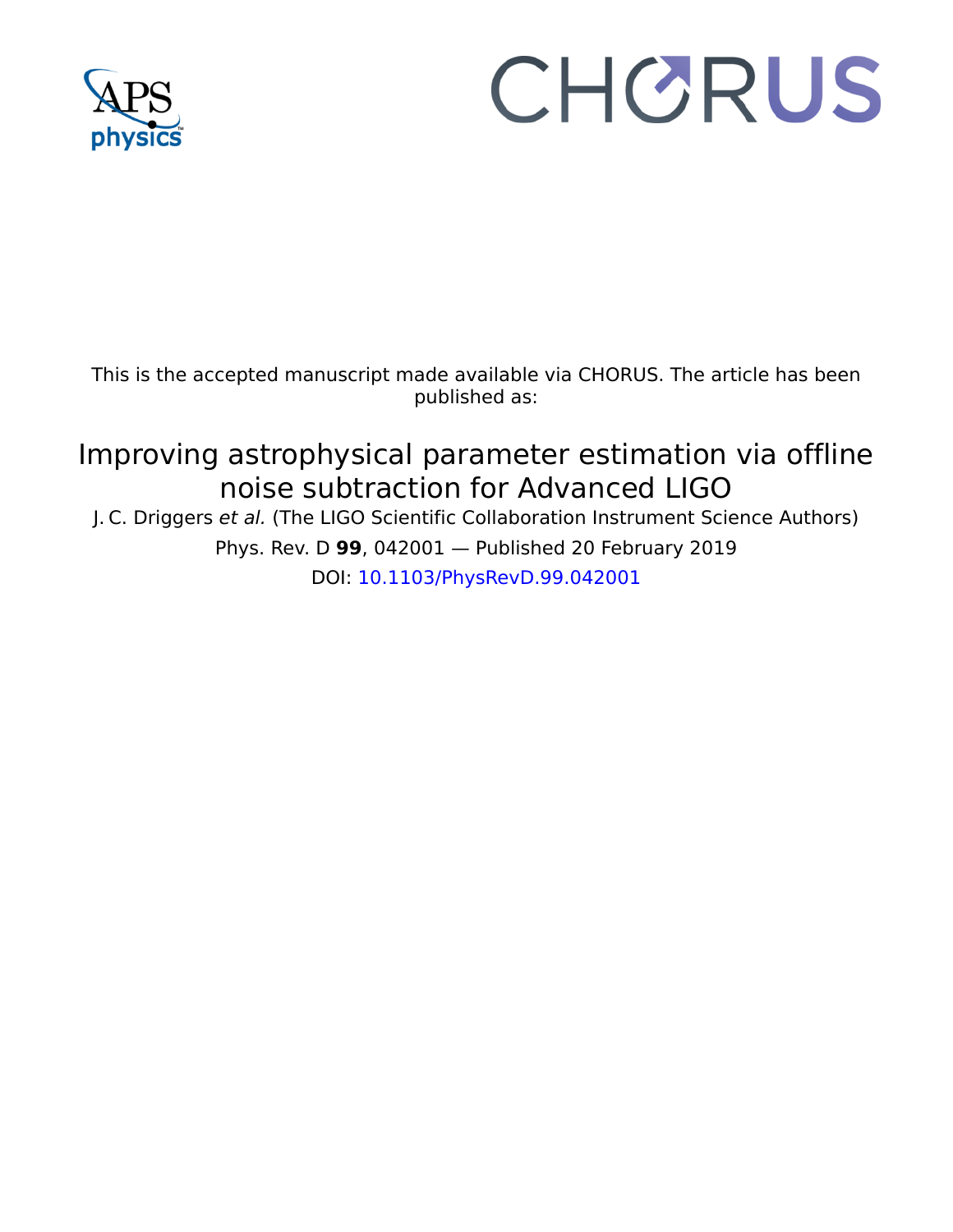

# CHORUS

This is the accepted manuscript made available via CHORUS. The article has been published as:

## Improving astrophysical parameter estimation via offline noise subtraction for Advanced LIGO

J. C. Driggers et al. (The LIGO Scientific Collaboration Instrument Science Authors) Phys. Rev. D **99**, 042001 — Published 20 February 2019 DOI: [10.1103/PhysRevD.99.042001](http://dx.doi.org/10.1103/PhysRevD.99.042001)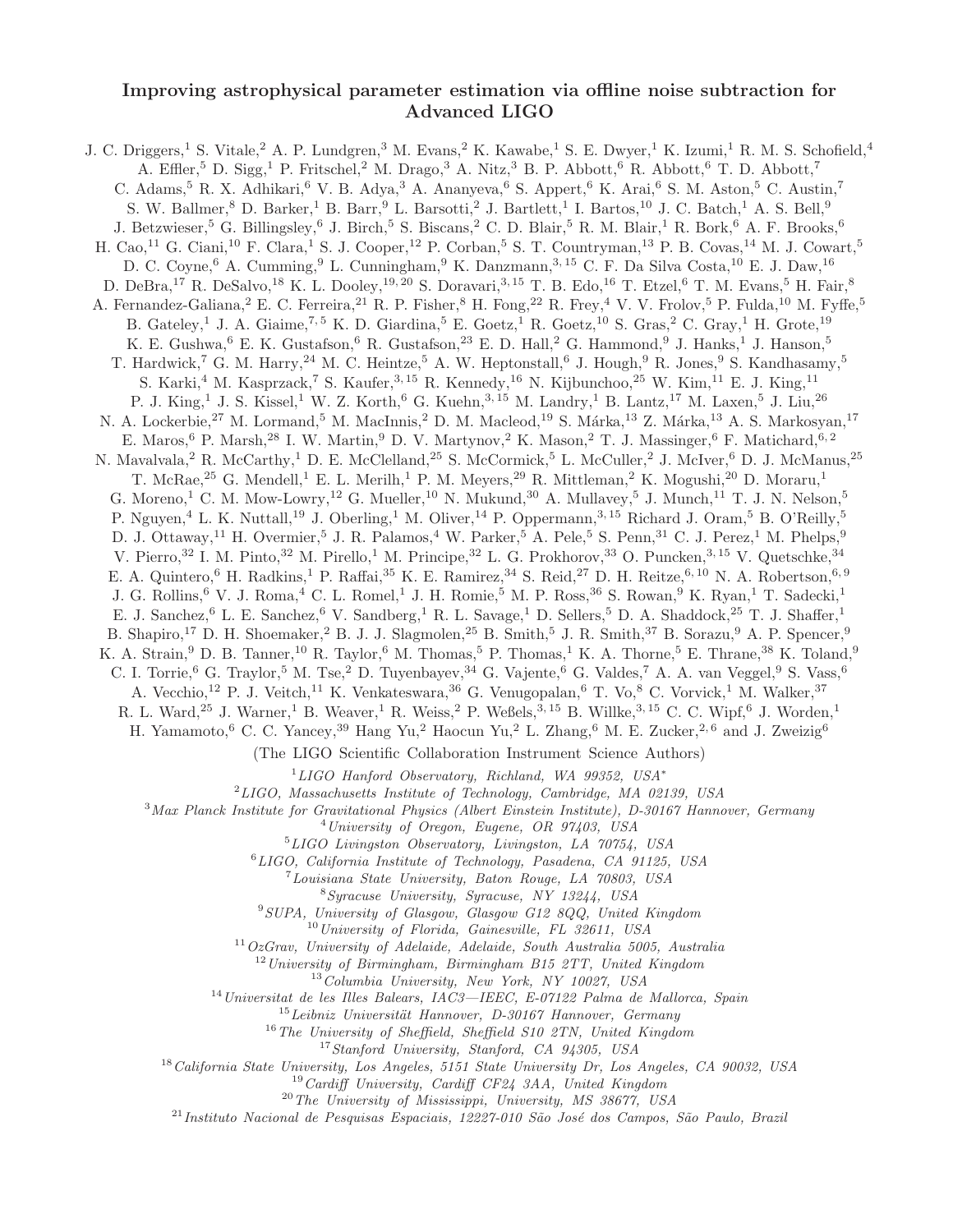#### Improving astrophysical parameter estimation via offline noise subtraction for Advanced LIGO

J. C. Driggers,<sup>1</sup> S. Vitale,<sup>2</sup> A. P. Lundgren,<sup>3</sup> M. Evans,<sup>2</sup> K. Kawabe,<sup>1</sup> S. E. Dwyer,<sup>1</sup> K. Izumi,<sup>1</sup> R. M. S. Schofield,<sup>4</sup> A. Effler, <sup>5</sup> D. Sigg,<sup>1</sup> P. Fritschel, <sup>2</sup> M. Drago, <sup>3</sup> A. Nitz, <sup>3</sup> B. P. Abbott, <sup>6</sup> R. Abbott, <sup>6</sup> T. D. Abbott, <sup>7</sup> C. Adams,<sup>5</sup> R. X. Adhikari,<sup>6</sup> V. B. Adya,<sup>3</sup> A. Ananyeva,<sup>6</sup> S. Appert,<sup>6</sup> K. Arai,<sup>6</sup> S. M. Aston,<sup>5</sup> C. Austin,<sup>7</sup> S. W. Ballmer,  $8$  D. Barker,  $1$  B. Barr,  $9$  L. Barsotti,  $2$  J. Bartlett,  $1$  I. Bartos,  $10$  J. C. Batch,  $1$  A. S. Bell,  $9$ J. Betzwieser,<sup>5</sup> G. Billingsley,<sup>6</sup> J. Birch,<sup>5</sup> S. Biscans,<sup>2</sup> C. D. Blair,<sup>5</sup> R. M. Blair,<sup>1</sup> R. Bork,<sup>6</sup> A. F. Brooks,<sup>6</sup> H. Cao,<sup>11</sup> G. Ciani,<sup>10</sup> F. Clara,<sup>1</sup> S. J. Cooper,<sup>12</sup> P. Corban,<sup>5</sup> S. T. Countryman,<sup>13</sup> P. B. Covas,<sup>14</sup> M. J. Cowart,<sup>5</sup> D. C. Coyne, <sup>6</sup> A. Cumming, <sup>9</sup> L. Cunningham, <sup>9</sup> K. Danzmann, <sup>3, 15</sup> C. F. Da Silva Costa, <sup>10</sup> E. J. Daw, <sup>16</sup> D. DeBra,<sup>17</sup> R. DeSalvo,<sup>18</sup> K. L. Dooley,<sup>19, 20</sup> S. Doravari,<sup>3, 15</sup> T. B. Edo,<sup>16</sup> T. Etzel,<sup>6</sup> T. M. Evans,<sup>5</sup> H. Fair,<sup>8</sup> A. Fernandez-Galiana,<sup>2</sup> E. C. Ferreira,<sup>21</sup> R. P. Fisher,<sup>8</sup> H. Fong,<sup>22</sup> R. Frey,<sup>4</sup> V. V. Frolov,<sup>5</sup> P. Fulda,<sup>10</sup> M. Fyffe,<sup>5</sup> B. Gateley,<sup>1</sup> J. A. Giaime,<sup>7,5</sup> K. D. Giardina,<sup>5</sup> E. Goetz,<sup>1</sup> R. Goetz,<sup>10</sup> S. Gras,<sup>2</sup> C. Gray,<sup>1</sup> H. Grote,<sup>19</sup> K. E. Gushwa,<sup>6</sup> E. K. Gustafson,<sup>6</sup> R. Gustafson,<sup>23</sup> E. D. Hall,<sup>2</sup> G. Hammond,<sup>9</sup> J. Hanks,<sup>1</sup> J. Hanson,<sup>5</sup> T. Hardwick,<sup>7</sup> G. M. Harry,<sup>24</sup> M. C. Heintze,<sup>5</sup> A. W. Heptonstall,<sup>6</sup> J. Hough,<sup>9</sup> R. Jones,<sup>9</sup> S. Kandhasamy,<sup>5</sup> S. Karki,<sup>4</sup> M. Kasprzack,<sup>7</sup> S. Kaufer,<sup>3, 15</sup> R. Kennedy,<sup>16</sup> N. Kijbunchoo,<sup>25</sup> W. Kim,<sup>11</sup> E. J. King,<sup>11</sup> P. J. King,<sup>1</sup> J. S. Kissel,<sup>1</sup> W. Z. Korth,<sup>6</sup> G. Kuehn,<sup>3, 15</sup> M. Landry,<sup>1</sup> B. Lantz,<sup>17</sup> M. Laxen,<sup>5</sup> J. Liu,<sup>26</sup> N. A. Lockerbie,<sup>27</sup> M. Lormand,<sup>5</sup> M. MacInnis,<sup>2</sup> D. M. Macleod,<sup>19</sup> S. Márka,<sup>13</sup> Z. Márka,<sup>13</sup> A. S. Markosyan,<sup>17</sup> E. Maros, <sup>6</sup> P. Marsh, <sup>28</sup> I. W. Martin, <sup>9</sup> D. V. Martynov, <sup>2</sup> K. Mason, <sup>2</sup> T. J. Massinger, <sup>6</sup> F. Matichard, <sup>6, 2</sup> N. Mavalvala,<sup>2</sup> R. McCarthy,<sup>1</sup> D. E. McClelland,<sup>25</sup> S. McCormick,<sup>5</sup> L. McCuller,<sup>2</sup> J. McIver,<sup>6</sup> D. J. McManus,<sup>25</sup> T. McRae,<sup>25</sup> G. Mendell,<sup>1</sup> E. L. Merilh,<sup>1</sup> P. M. Meyers,<sup>29</sup> R. Mittleman,<sup>2</sup> K. Mogushi,<sup>20</sup> D. Moraru,<sup>1</sup> G. Moreno,<sup>1</sup> C. M. Mow-Lowry,<sup>12</sup> G. Mueller,<sup>10</sup> N. Mukund,<sup>30</sup> A. Mullavey,<sup>5</sup> J. Munch,<sup>11</sup> T. J. N. Nelson,<sup>5</sup> P. Nguyen,<sup>4</sup> L. K. Nuttall,<sup>19</sup> J. Oberling,<sup>1</sup> M. Oliver,<sup>14</sup> P. Oppermann,<sup>3, 15</sup> Richard J. Oram,<sup>5</sup> B. O'Reilly,<sup>5</sup> D. J. Ottaway,<sup>11</sup> H. Overmier,<sup>5</sup> J. R. Palamos,<sup>4</sup> W. Parker,<sup>5</sup> A. Pele,<sup>5</sup> S. Penn,<sup>31</sup> C. J. Perez,<sup>1</sup> M. Phelps,<sup>9</sup> V. Pierro,<sup>32</sup> I. M. Pinto,<sup>32</sup> M. Pirello,<sup>1</sup> M. Principe,<sup>32</sup> L. G. Prokhorov,<sup>33</sup> O. Puncken,<sup>3, 15</sup> V. Quetschke,<sup>34</sup> E. A. Quintero,<sup>6</sup> H. Radkins,<sup>1</sup> P. Raffai,<sup>35</sup> K. E. Ramirez,<sup>34</sup> S. Reid,<sup>27</sup> D. H. Reitze,<sup>6, 10</sup> N. A. Robertson,<sup>6, 9</sup> J. G. Rollins,<sup>6</sup> V. J. Roma,<sup>4</sup> C. L. Romel,<sup>1</sup> J. H. Romie,<sup>5</sup> M. P. Ross,<sup>36</sup> S. Rowan,<sup>9</sup> K. Ryan,<sup>1</sup> T. Sadecki,<sup>1</sup> E. J. Sanchez,<sup>6</sup> L. E. Sanchez,<sup>6</sup> V. Sandberg,<sup>1</sup> R. L. Savage,<sup>1</sup> D. Sellers,<sup>5</sup> D. A. Shaddock,<sup>25</sup> T. J. Shaffer,<sup>1</sup> B. Shapiro,<sup>17</sup> D. H. Shoemaker,<sup>2</sup> B. J. J. Slagmolen,<sup>25</sup> B. Smith,<sup>5</sup> J. R. Smith,<sup>37</sup> B. Sorazu,<sup>9</sup> A. P. Spencer,<sup>9</sup> K. A. Strain, <sup>9</sup> D. B. Tanner, <sup>10</sup> R. Taylor, <sup>6</sup> M. Thomas, <sup>5</sup> P. Thomas, <sup>1</sup> K. A. Thorne, <sup>5</sup> E. Thrane, <sup>38</sup> K. Toland, <sup>9</sup> C. I. Torrie,<sup>6</sup> G. Traylor,<sup>5</sup> M. Tse,<sup>2</sup> D. Tuyenbayev,<sup>34</sup> G. Vajente,<sup>6</sup> G. Valdes,<sup>7</sup> A. A. van Veggel,<sup>9</sup> S. Vass,<sup>6</sup> A. Vecchio,<sup>12</sup> P. J. Veitch,<sup>11</sup> K. Venkateswara,<sup>36</sup> G. Venugopalan,<sup>6</sup> T. Vo,<sup>8</sup> C. Vorvick,<sup>1</sup> M. Walker,<sup>37</sup> R. L. Ward,<sup>25</sup> J. Warner,<sup>1</sup> B. Weaver,<sup>1</sup> R. Weiss,<sup>2</sup> P. Weßels,<sup>3, 15</sup> B. Willke,<sup>3, 15</sup> C. C. Wipf,<sup>6</sup> J. Worden,<sup>1</sup> H. Yamamoto,<sup>6</sup> C. C. Yancey,<sup>39</sup> Hang Yu,<sup>2</sup> Haocun Yu,<sup>2</sup> L. Zhang,<sup>6</sup> M. E. Zucker,<sup>2,6</sup> and J. Zweizig<sup>6</sup> (The LIGO Scientific Collaboration Instrument Science Authors)  $1$ LIGO Hanford Observatory, Richland, WA 99352, USA<sup>\*</sup>  $^{2}$ LIGO, Massachusetts Institute of Technology, Cambridge, MA 02139, USA <sup>3</sup>Max Planck Institute for Gravitational Physics (Albert Einstein Institute), D-30167 Hannover, Germany  $^{4}$ University of Oregon, Eugene, OR 97403, USA  ${}^{5}LIGO$  Livingston Observatory, Livingston, LA  $70754$ , USA <sup>6</sup>LIGO, California Institute of Technology, Pasadena, CA 91125, USA <sup>7</sup>Louisiana State University, Baton Rouge, LA 70803, USA <sup>8</sup>Syracuse University, Syracuse, NY 13244, USA  $9$ SUPA, University of Glasgow, Glasgow G12 8QQ, United Kingdom  $^{10}$ University of Florida, Gainesville, FL 32611, USA  $11 OzGrav$ , University of Adelaide, Adelaide, South Australia 5005, Australia  $12$ University of Birmingham, Birmingham B15 2TT, United Kingdom <sup>13</sup>Columbia University, New York, NY 10027, USA <sup>14</sup>Universitat de les Illes Balears, IAC3—IEEC, E-07122 Palma de Mallorca, Spain  $15$ Leibniz Universität Hannover, D-30167 Hannover, Germany  $16$ The University of Sheffield, Sheffield S10 2TN, United Kingdom  $17$ Stanford University, Stanford, CA 94305, USA  $^{18}$ California State University, Los Angeles, 5151 State University Dr, Los Angeles, CA 90032, USA  $19$  Cardiff University, Cardiff CF24 3AA, United Kingdom

<sup>20</sup>The University of Mississippi, University, MS 38677, USA

 $^{21}$ Instituto Nacional de Pesquisas Espaciais, 12227-010 São José dos Campos, São Paulo, Brazil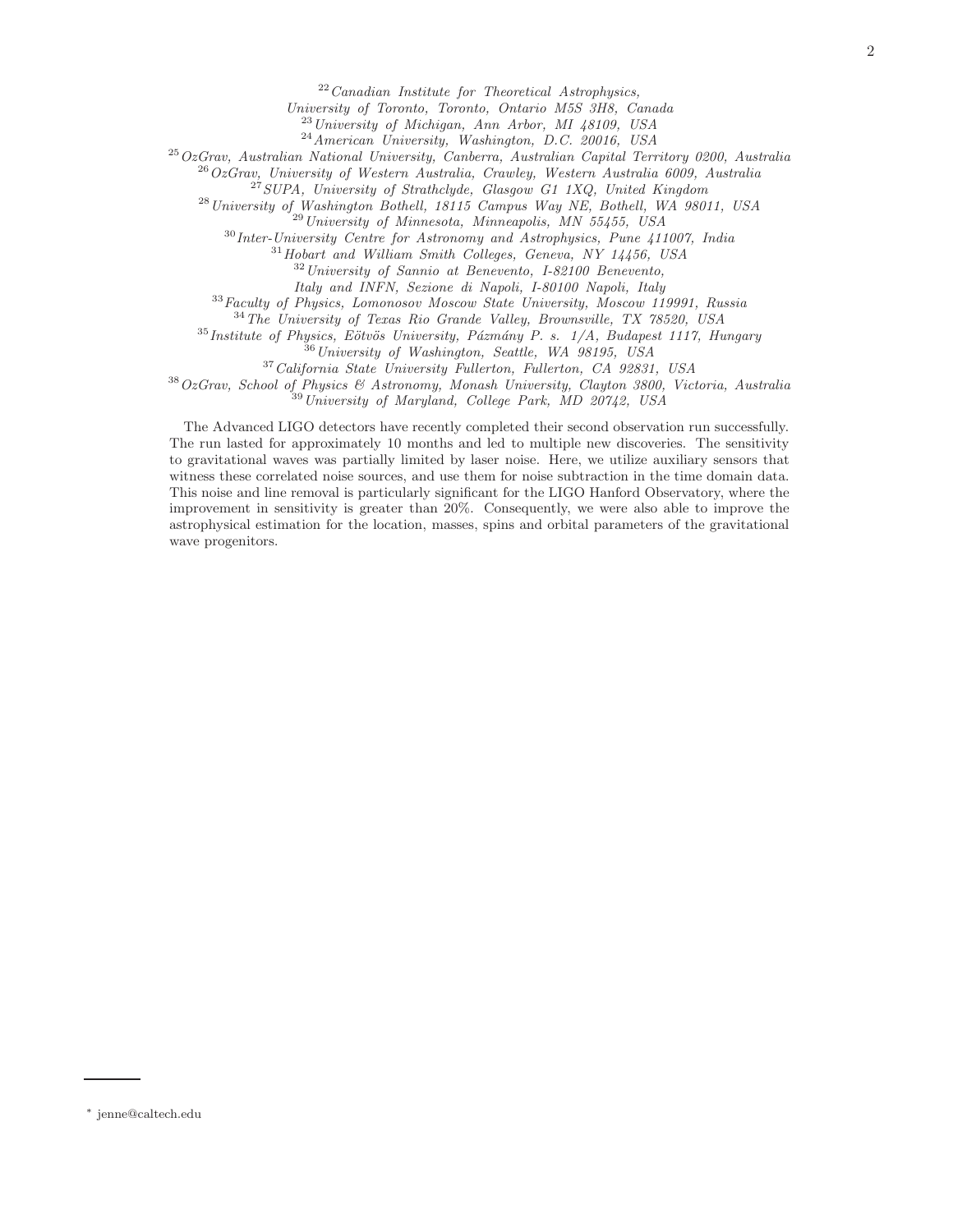$22$  Canadian Institute for Theoretical Astrophysics,

University of Toronto, Toronto, Ontario M5S 3H8, Canada

<sup>23</sup> University of Michigan, Ann Arbor, MI 48109, USA

 $^{24}$ American University, Washington, D.C. 20016, USA

 $^{25}OzGrav$ , Australian National University, Canberra, Australian Capital Territory 0200, Australia

 $^{26}OzG$ rav, University of Western Australia, Crawley, Western Australia 6009, Australia

 $^{27}$ SUPA, University of Strathclyde, Glasgow G1 1XQ, United Kingdom

<sup>28</sup>University of Washington Bothell, 18115 Campus Way NE, Bothell, WA 98011, USA

<sup>29</sup>University of Minnesota, Minneapolis, MN 55455, USA

 $30$ Inter-University Centre for Astronomy and Astrophysics, Pune 411007, India

<sup>31</sup>Hobart and William Smith Colleges, Geneva, NY 14456, USA

<sup>32</sup>University of Sannio at Benevento, I-82100 Benevento,

Italy and INFN, Sezione di Napoli, I-80100 Napoli, Italy

<sup>33</sup>Faculty of Physics, Lomonosov Moscow State University, Moscow 119991, Russia

<sup>34</sup>The University of Texas Rio Grande Valley, Brownsville, TX 78520, USA

 $35$ Institute of Physics, Eötvös University, Pázmány P. s. 1/A, Budapest 1117, Hungary

 $36$  University of Washington, Seattle, WA 98195, USA

<sup>37</sup>California State University Fullerton, Fullerton, CA 92831, USA

<sup>38</sup>OzGrav, School of Physics & Astronomy, Monash University, Clayton 3800, Victoria, Australia <sup>39</sup>University of Maryland, College Park, MD 20742, USA

The Advanced LIGO detectors have recently completed their second observation run successfully. The run lasted for approximately 10 months and led to multiple new discoveries. The sensitivity to gravitational waves was partially limited by laser noise. Here, we utilize auxiliary sensors that witness these correlated noise sources, and use them for noise subtraction in the time domain data. This noise and line removal is particularly significant for the LIGO Hanford Observatory, where the improvement in sensitivity is greater than 20%. Consequently, we were also able to improve the astrophysical estimation for the location, masses, spins and orbital parameters of the gravitational wave progenitors.

<sup>∗</sup> jenne@caltech.edu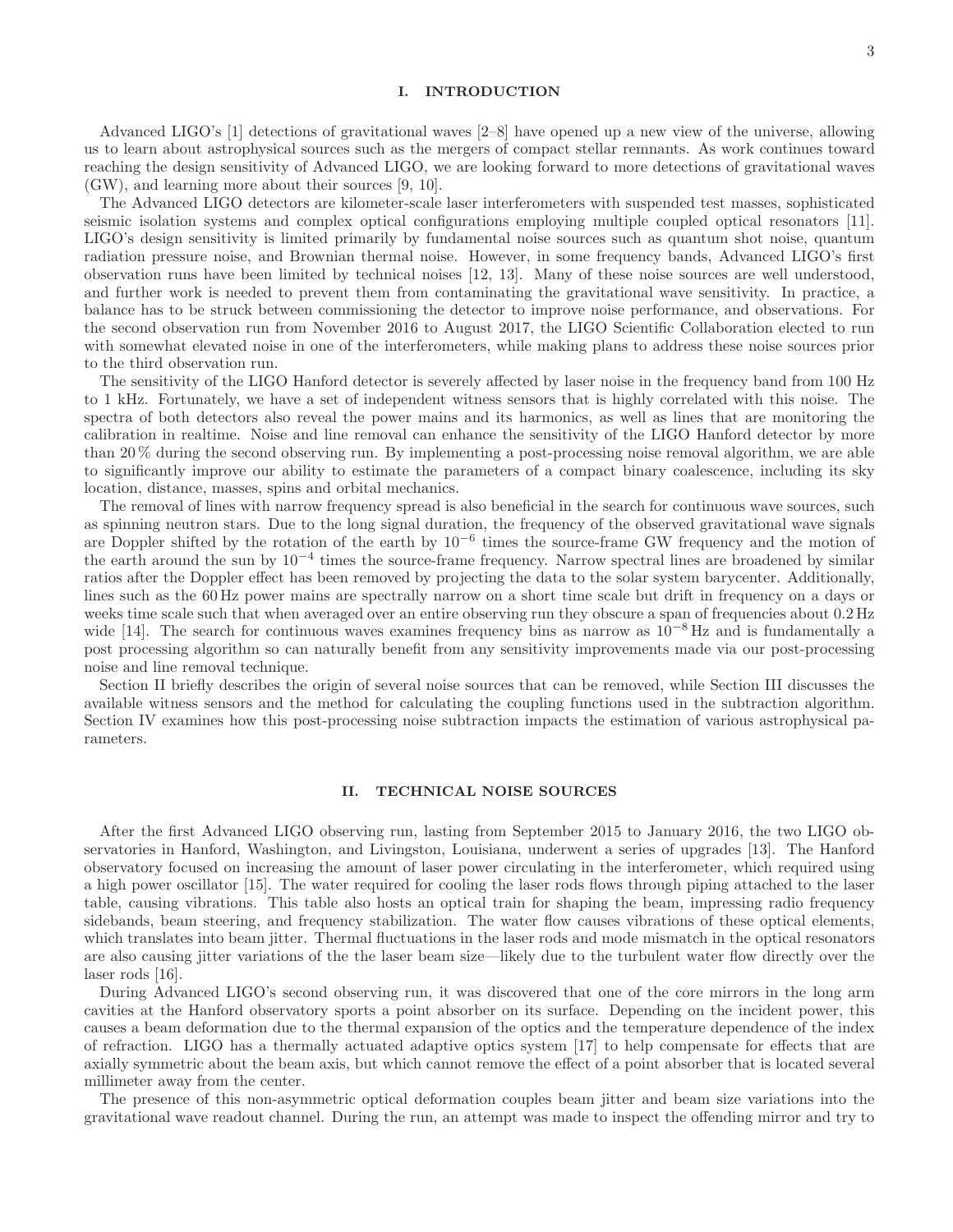#### I. INTRODUCTION

Advanced LIGO's [1] detections of gravitational waves [2–8] have opened up a new view of the universe, allowing us to learn about astrophysical sources such as the mergers of compact stellar remnants. As work continues toward reaching the design sensitivity of Advanced LIGO, we are looking forward to more detections of gravitational waves (GW), and learning more about their sources [9, 10].

The Advanced LIGO detectors are kilometer-scale laser interferometers with suspended test masses, sophisticated seismic isolation systems and complex optical configurations employing multiple coupled optical resonators [11]. LIGO's design sensitivity is limited primarily by fundamental noise sources such as quantum shot noise, quantum radiation pressure noise, and Brownian thermal noise. However, in some frequency bands, Advanced LIGO's first observation runs have been limited by technical noises [12, 13]. Many of these noise sources are well understood, and further work is needed to prevent them from contaminating the gravitational wave sensitivity. In practice, a balance has to be struck between commissioning the detector to improve noise performance, and observations. For the second observation run from November 2016 to August 2017, the LIGO Scientific Collaboration elected to run with somewhat elevated noise in one of the interferometers, while making plans to address these noise sources prior to the third observation run.

The sensitivity of the LIGO Hanford detector is severely affected by laser noise in the frequency band from 100 Hz to 1 kHz. Fortunately, we have a set of independent witness sensors that is highly correlated with this noise. The spectra of both detectors also reveal the power mains and its harmonics, as well as lines that are monitoring the calibration in realtime. Noise and line removal can enhance the sensitivity of the LIGO Hanford detector by more than 20 % during the second observing run. By implementing a post-processing noise removal algorithm, we are able to significantly improve our ability to estimate the parameters of a compact binary coalescence, including its sky location, distance, masses, spins and orbital mechanics.

The removal of lines with narrow frequency spread is also beneficial in the search for continuous wave sources, such as spinning neutron stars. Due to the long signal duration, the frequency of the observed gravitational wave signals are Doppler shifted by the rotation of the earth by 10<sup>-6</sup> times the source-frame GW frequency and the motion of the earth around the sun by  $10^{-4}$  times the source-frame frequency. Narrow spectral lines are broadened by similar ratios after the Doppler effect has been removed by projecting the data to the solar system barycenter. Additionally, lines such as the 60 Hz power mains are spectrally narrow on a short time scale but drift in frequency on a days or weeks time scale such that when averaged over an entire observing run they obscure a span of frequencies about  $0.2 \text{ Hz}$ wide [14]. The search for continuous waves examines frequency bins as narrow as  $10^{-8}$  Hz and is fundamentally a post processing algorithm so can naturally benefit from any sensitivity improvements made via our post-processing noise and line removal technique.

Section II briefly describes the origin of several noise sources that can be removed, while Section III discusses the available witness sensors and the method for calculating the coupling functions used in the subtraction algorithm. Section IV examines how this post-processing noise subtraction impacts the estimation of various astrophysical parameters.

#### II. TECHNICAL NOISE SOURCES

After the first Advanced LIGO observing run, lasting from September 2015 to January 2016, the two LIGO observatories in Hanford, Washington, and Livingston, Louisiana, underwent a series of upgrades [13]. The Hanford observatory focused on increasing the amount of laser power circulating in the interferometer, which required using a high power oscillator [15]. The water required for cooling the laser rods flows through piping attached to the laser table, causing vibrations. This table also hosts an optical train for shaping the beam, impressing radio frequency sidebands, beam steering, and frequency stabilization. The water flow causes vibrations of these optical elements, which translates into beam jitter. Thermal fluctuations in the laser rods and mode mismatch in the optical resonators are also causing jitter variations of the the laser beam size—likely due to the turbulent water flow directly over the laser rods [16].

During Advanced LIGO's second observing run, it was discovered that one of the core mirrors in the long arm cavities at the Hanford observatory sports a point absorber on its surface. Depending on the incident power, this causes a beam deformation due to the thermal expansion of the optics and the temperature dependence of the index of refraction. LIGO has a thermally actuated adaptive optics system [17] to help compensate for effects that are axially symmetric about the beam axis, but which cannot remove the effect of a point absorber that is located several millimeter away from the center.

The presence of this non-asymmetric optical deformation couples beam jitter and beam size variations into the gravitational wave readout channel. During the run, an attempt was made to inspect the offending mirror and try to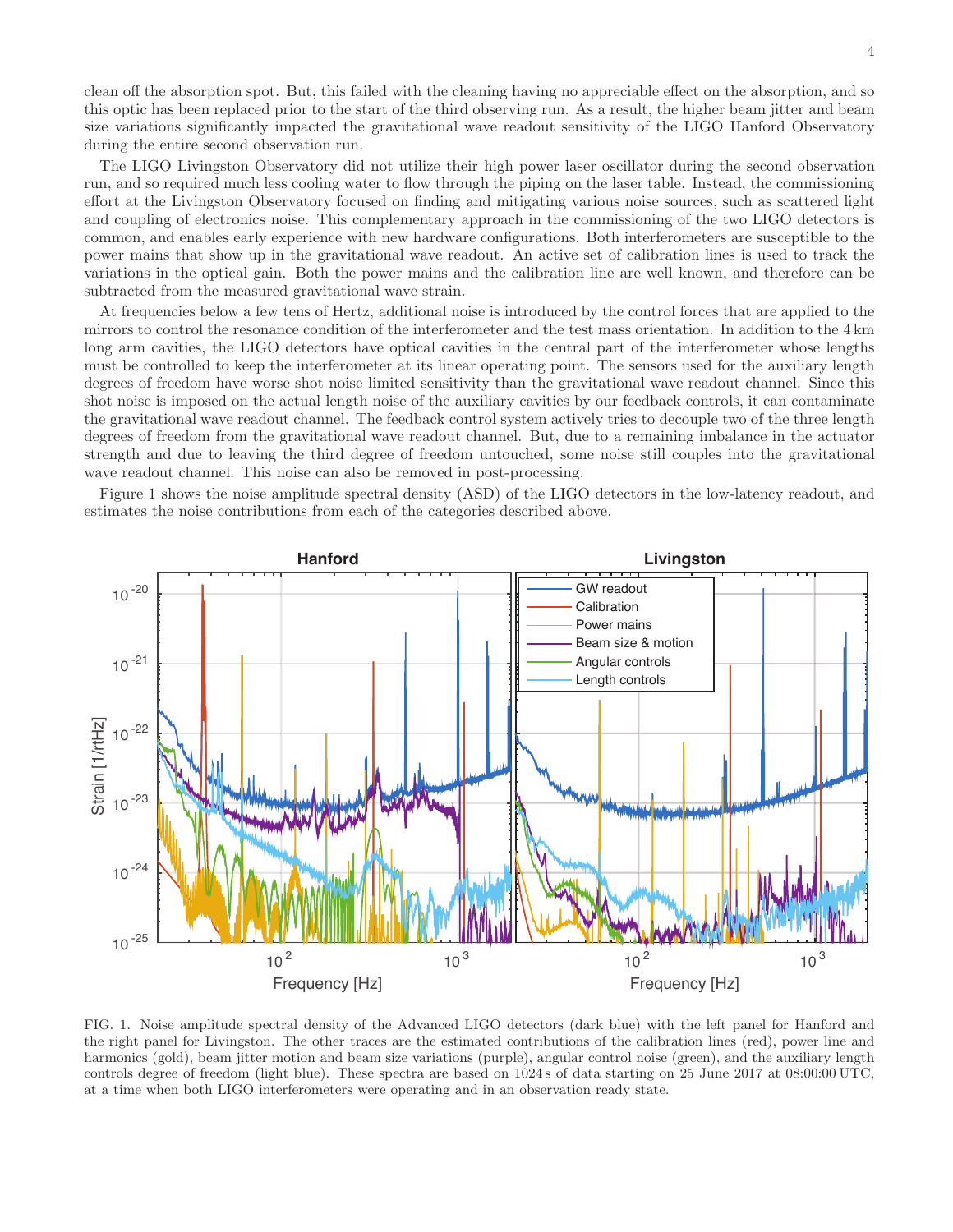clean off the absorption spot. But, this failed with the cleaning having no appreciable effect on the absorption, and so this optic has been replaced prior to the start of the third observing run. As a result, the higher beam jitter and beam size variations significantly impacted the gravitational wave readout sensitivity of the LIGO Hanford Observatory during the entire second observation run.

The LIGO Livingston Observatory did not utilize their high power laser oscillator during the second observation run, and so required much less cooling water to flow through the piping on the laser table. Instead, the commissioning effort at the Livingston Observatory focused on finding and mitigating various noise sources, such as scattered light and coupling of electronics noise. This complementary approach in the commissioning of the two LIGO detectors is common, and enables early experience with new hardware configurations. Both interferometers are susceptible to the power mains that show up in the gravitational wave readout. An active set of calibration lines is used to track the variations in the optical gain. Both the power mains and the calibration line are well known, and therefore can be subtracted from the measured gravitational wave strain.

At frequencies below a few tens of Hertz, additional noise is introduced by the control forces that are applied to the mirrors to control the resonance condition of the interferometer and the test mass orientation. In addition to the 4 km long arm cavities, the LIGO detectors have optical cavities in the central part of the interferometer whose lengths must be controlled to keep the interferometer at its linear operating point. The sensors used for the auxiliary length degrees of freedom have worse shot noise limited sensitivity than the gravitational wave readout channel. Since this shot noise is imposed on the actual length noise of the auxiliary cavities by our feedback controls, it can contaminate the gravitational wave readout channel. The feedback control system actively tries to decouple two of the three length degrees of freedom from the gravitational wave readout channel. But, due to a remaining imbalance in the actuator strength and due to leaving the third degree of freedom untouched, some noise still couples into the gravitational wave readout channel. This noise can also be removed in post-processing.

Figure 1 shows the noise amplitude spectral density (ASD) of the LIGO detectors in the low-latency readout, and estimates the noise contributions from each of the categories described above.



FIG. 1. Noise amplitude spectral density of the Advanced LIGO detectors (dark blue) with the left panel for Hanford and the right panel for Livingston. The other traces are the estimated contributions of the calibration lines (red), power line and harmonics (gold), beam jitter motion and beam size variations (purple), angular control noise (green), and the auxiliary length controls degree of freedom (light blue). These spectra are based on 1024 s of data starting on 25 June 2017 at 08:00:00 UTC, at a time when both LIGO interferometers were operating and in an observation ready state.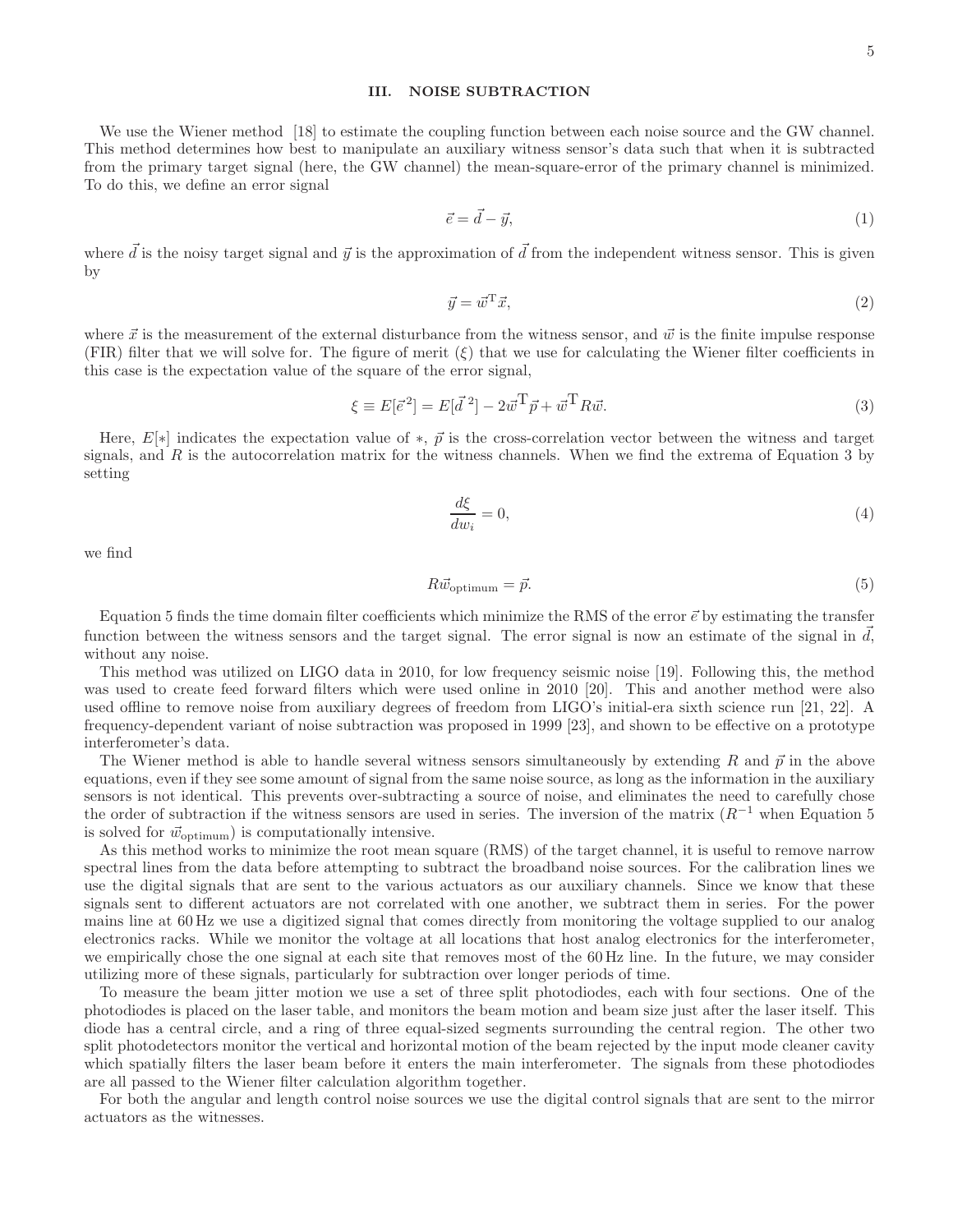#### III. NOISE SUBTRACTION

We use the Wiener method [18] to estimate the coupling function between each noise source and the GW channel. This method determines how best to manipulate an auxiliary witness sensor's data such that when it is subtracted from the primary target signal (here, the GW channel) the mean-square-error of the primary channel is minimized. To do this, we define an error signal

$$
\vec{e} = \vec{d} - \vec{y},\tag{1}
$$

where  $\vec{d}$  is the noisy target signal and  $\vec{y}$  is the approximation of  $\vec{d}$  from the independent witness sensor. This is given by

$$
\vec{y} = \vec{w}^{\mathrm{T}}\vec{x},\tag{2}
$$

where  $\vec{x}$  is the measurement of the external disturbance from the witness sensor, and  $\vec{w}$  is the finite impulse response (FIR) filter that we will solve for. The figure of merit  $(\xi)$  that we use for calculating the Wiener filter coefficients in this case is the expectation value of the square of the error signal,

$$
\xi \equiv E[\vec{e}^2] = E[\vec{d}^2] - 2\vec{w}^T \vec{p} + \vec{w}^T R \vec{w}.
$$
\n
$$
(3)
$$

Here,  $E[*]$  indicates the expectation value of  $*, \vec{p}$  is the cross-correlation vector between the witness and target signals, and  $R$  is the autocorrelation matrix for the witness channels. When we find the extrema of Equation 3 by setting

$$
\frac{d\xi}{dw_i} = 0,\t\t(4)
$$

we find

$$
R\vec{w}_{\text{optimum}} = \vec{p}.\tag{5}
$$

Equation 5 finds the time domain filter coefficients which minimize the RMS of the error  $\vec{e}$  by estimating the transfer function between the witness sensors and the target signal. The error signal is now an estimate of the signal in  $d$ , without any noise.

This method was utilized on LIGO data in 2010, for low frequency seismic noise [19]. Following this, the method was used to create feed forward filters which were used online in 2010 [20]. This and another method were also used offline to remove noise from auxiliary degrees of freedom from LIGO's initial-era sixth science run [21, 22]. A frequency-dependent variant of noise subtraction was proposed in 1999 [23], and shown to be effective on a prototype interferometer's data.

The Wiener method is able to handle several witness sensors simultaneously by extending R and  $\vec{p}$  in the above equations, even if they see some amount of signal from the same noise source, as long as the information in the auxiliary sensors is not identical. This prevents over-subtracting a source of noise, and eliminates the need to carefully chose the order of subtraction if the witness sensors are used in series. The inversion of the matrix  $(R^{-1}$  when Equation 5 is solved for  $\vec{w}_{\text{optimum}}$  is computationally intensive.

As this method works to minimize the root mean square (RMS) of the target channel, it is useful to remove narrow spectral lines from the data before attempting to subtract the broadband noise sources. For the calibration lines we use the digital signals that are sent to the various actuators as our auxiliary channels. Since we know that these signals sent to different actuators are not correlated with one another, we subtract them in series. For the power mains line at 60 Hz we use a digitized signal that comes directly from monitoring the voltage supplied to our analog electronics racks. While we monitor the voltage at all locations that host analog electronics for the interferometer, we empirically chose the one signal at each site that removes most of the 60 Hz line. In the future, we may consider utilizing more of these signals, particularly for subtraction over longer periods of time.

To measure the beam jitter motion we use a set of three split photodiodes, each with four sections. One of the photodiodes is placed on the laser table, and monitors the beam motion and beam size just after the laser itself. This diode has a central circle, and a ring of three equal-sized segments surrounding the central region. The other two split photodetectors monitor the vertical and horizontal motion of the beam rejected by the input mode cleaner cavity which spatially filters the laser beam before it enters the main interferometer. The signals from these photodiodes are all passed to the Wiener filter calculation algorithm together.

For both the angular and length control noise sources we use the digital control signals that are sent to the mirror actuators as the witnesses.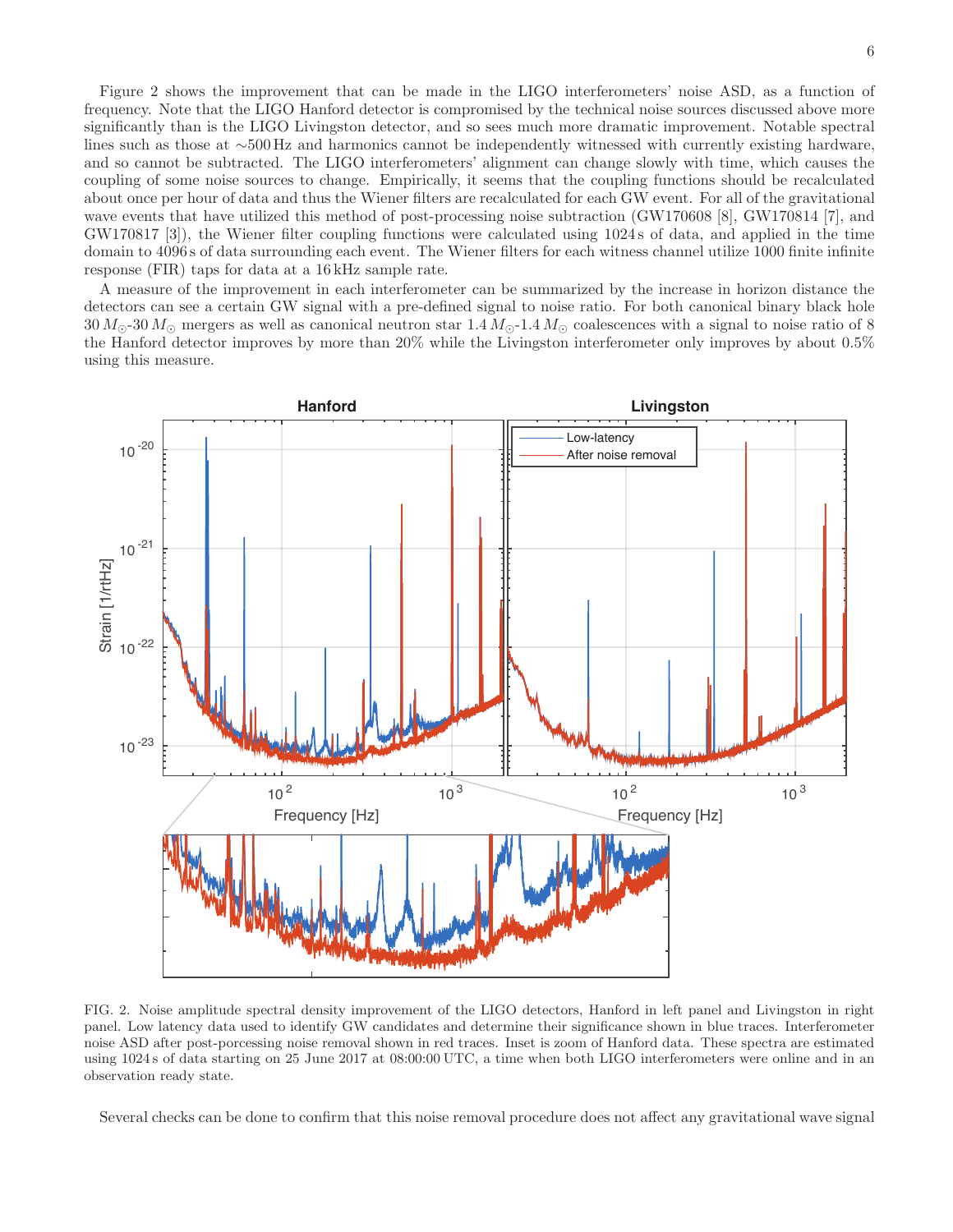Figure 2 shows the improvement that can be made in the LIGO interferometers' noise ASD, as a function of frequency. Note that the LIGO Hanford detector is compromised by the technical noise sources discussed above more significantly than is the LIGO Livingston detector, and so sees much more dramatic improvement. Notable spectral lines such as those at ∼500 Hz and harmonics cannot be independently witnessed with currently existing hardware, and so cannot be subtracted. The LIGO interferometers' alignment can change slowly with time, which causes the coupling of some noise sources to change. Empirically, it seems that the coupling functions should be recalculated about once per hour of data and thus the Wiener filters are recalculated for each GW event. For all of the gravitational wave events that have utilized this method of post-processing noise subtraction (GW170608 [8], GW170814 [7], and GW170817 [3]), the Wiener filter coupling functions were calculated using 1024 s of data, and applied in the time domain to 4096 s of data surrounding each event. The Wiener filters for each witness channel utilize 1000 finite infinite response (FIR) taps for data at a 16 kHz sample rate.

A measure of the improvement in each interferometer can be summarized by the increase in horizon distance the detectors can see a certain GW signal with a pre-defined signal to noise ratio. For both canonical binary black hole  $30 M_{\odot}$ -30  $M_{\odot}$  mergers as well as canonical neutron star  $1.4 M_{\odot}$ -1.4  $M_{\odot}$  coalescences with a signal to noise ratio of 8 the Hanford detector improves by more than 20% while the Livingston interferometer only improves by about 0.5% using this measure.



FIG. 2. Noise amplitude spectral density improvement of the LIGO detectors, Hanford in left panel and Livingston in right panel. Low latency data used to identify GW candidates and determine their significance shown in blue traces. Interferometer noise ASD after post-porcessing noise removal shown in red traces. Inset is zoom of Hanford data. These spectra are estimated using 1024 s of data starting on 25 June 2017 at 08:00:00 UTC, a time when both LIGO interferometers were online and in an observation ready state.

Several checks can be done to confirm that this noise removal procedure does not affect any gravitational wave signal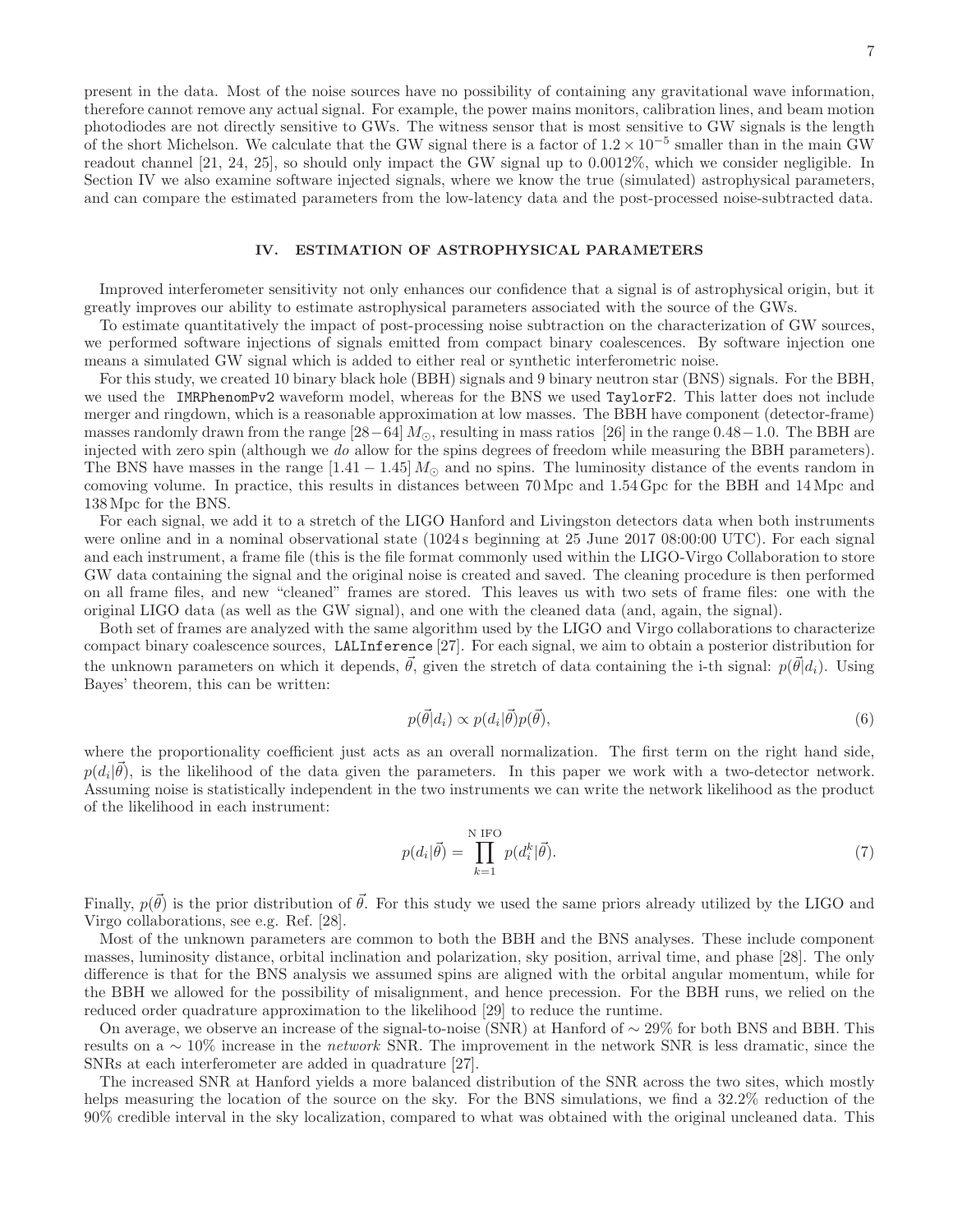present in the data. Most of the noise sources have no possibility of containing any gravitational wave information, therefore cannot remove any actual signal. For example, the power mains monitors, calibration lines, and beam motion photodiodes are not directly sensitive to GWs. The witness sensor that is most sensitive to GW signals is the length of the short Michelson. We calculate that the GW signal there is a factor of  $1.2 \times 10^{-5}$  smaller than in the main GW readout channel [21, 24, 25], so should only impact the GW signal up to 0.0012%, which we consider negligible. In Section IV we also examine software injected signals, where we know the true (simulated) astrophysical parameters, and can compare the estimated parameters from the low-latency data and the post-processed noise-subtracted data.

#### IV. ESTIMATION OF ASTROPHYSICAL PARAMETERS

Improved interferometer sensitivity not only enhances our confidence that a signal is of astrophysical origin, but it greatly improves our ability to estimate astrophysical parameters associated with the source of the GWs.

To estimate quantitatively the impact of post-processing noise subtraction on the characterization of GW sources, we performed software injections of signals emitted from compact binary coalescences. By software injection one means a simulated GW signal which is added to either real or synthetic interferometric noise.

For this study, we created 10 binary black hole (BBH) signals and 9 binary neutron star (BNS) signals. For the BBH, we used the IMRPhenomPv2 waveform model, whereas for the BNS we used TaylorF2. This latter does not include merger and ringdown, which is a reasonable approximation at low masses. The BBH have component (detector-frame) masses randomly drawn from the range  $[28-64] M_{\odot}$ , resulting in mass ratios  $[26]$  in the range 0.48−1.0. The BBH are injected with zero spin (although we do allow for the spins degrees of freedom while measuring the BBH parameters). The BNS have masses in the range  $[1.41 - 1.45] M_{\odot}$  and no spins. The luminosity distance of the events random in comoving volume. In practice, this results in distances between 70 Mpc and 1.54 Gpc for the BBH and 14 Mpc and 138Mpc for the BNS.

For each signal, we add it to a stretch of the LIGO Hanford and Livingston detectors data when both instruments were online and in a nominal observational state (1024 s beginning at 25 June 2017 08:00:00 UTC). For each signal and each instrument, a frame file (this is the file format commonly used within the LIGO-Virgo Collaboration to store GW data containing the signal and the original noise is created and saved. The cleaning procedure is then performed on all frame files, and new "cleaned" frames are stored. This leaves us with two sets of frame files: one with the original LIGO data (as well as the GW signal), and one with the cleaned data (and, again, the signal).

Both set of frames are analyzed with the same algorithm used by the LIGO and Virgo collaborations to characterize compact binary coalescence sources, LALInference [27]. For each signal, we aim to obtain a posterior distribution for the unknown parameters on which it depends,  $\vec{\theta}$ , given the stretch of data containing the i-th signal:  $p(\vec{\theta}|d_i)$ . Using Bayes' theorem, this can be written:

$$
p(\vec{\theta}|d_i) \propto p(d_i|\vec{\theta})p(\vec{\theta}),\tag{6}
$$

where the proportionality coefficient just acts as an overall normalization. The first term on the right hand side,  $p(d_i|\vec{\theta})$ , is the likelihood of the data given the parameters. In this paper we work with a two-detector network. Assuming noise is statistically independent in the two instruments we can write the network likelihood as the product of the likelihood in each instrument:

$$
p(d_i|\vec{\theta}) = \prod_{k=1}^{N \text{ IFO}} p(d_i^k|\vec{\theta}).
$$
\n(7)

Finally,  $p(\vec{\theta})$  is the prior distribution of  $\vec{\theta}$ . For this study we used the same priors already utilized by the LIGO and Virgo collaborations, see e.g. Ref. [28].

Most of the unknown parameters are common to both the BBH and the BNS analyses. These include component masses, luminosity distance, orbital inclination and polarization, sky position, arrival time, and phase [28]. The only difference is that for the BNS analysis we assumed spins are aligned with the orbital angular momentum, while for the BBH we allowed for the possibility of misalignment, and hence precession. For the BBH runs, we relied on the reduced order quadrature approximation to the likelihood [29] to reduce the runtime.

On average, we observe an increase of the signal-to-noise (SNR) at Hanford of ∼ 29% for both BNS and BBH. This results on a ∼ 10% increase in the network SNR. The improvement in the network SNR is less dramatic, since the SNRs at each interferometer are added in quadrature [27].

The increased SNR at Hanford yields a more balanced distribution of the SNR across the two sites, which mostly helps measuring the location of the source on the sky. For the BNS simulations, we find a 32.2% reduction of the 90% credible interval in the sky localization, compared to what was obtained with the original uncleaned data. This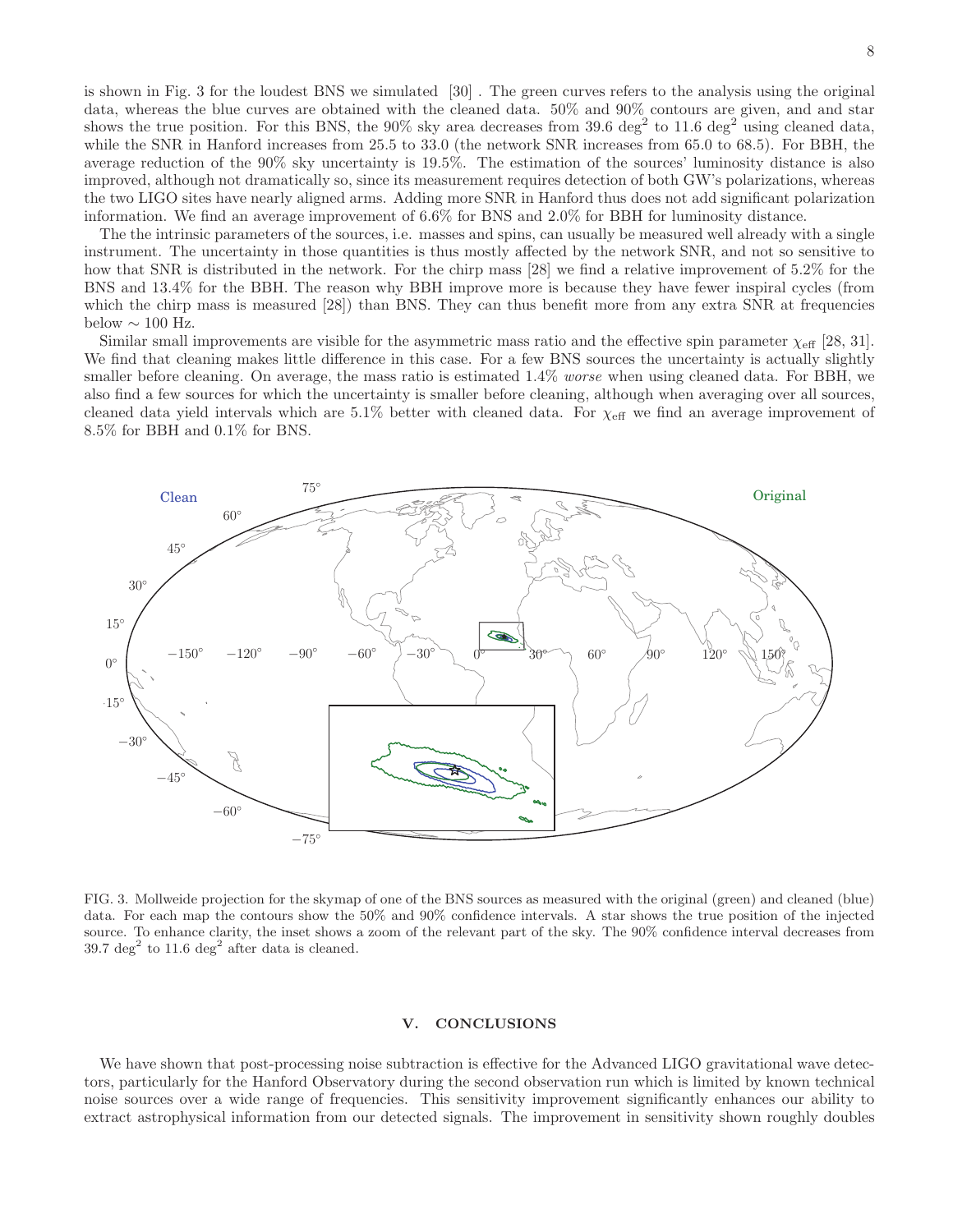is shown in Fig. 3 for the loudest BNS we simulated [30] . The green curves refers to the analysis using the original data, whereas the blue curves are obtained with the cleaned data. 50% and 90% contours are given, and and star shows the true position. For this BNS, the 90% sky area decreases from 39.6 deg<sup>2</sup> to 11.6 deg<sup>2</sup> using cleaned data, while the SNR in Hanford increases from 25.5 to 33.0 (the network SNR increases from 65.0 to 68.5). For BBH, the average reduction of the 90% sky uncertainty is 19.5%. The estimation of the sources' luminosity distance is also improved, although not dramatically so, since its measurement requires detection of both GW's polarizations, whereas the two LIGO sites have nearly aligned arms. Adding more SNR in Hanford thus does not add significant polarization information. We find an average improvement of 6.6% for BNS and 2.0% for BBH for luminosity distance.

The the intrinsic parameters of the sources, i.e. masses and spins, can usually be measured well already with a single instrument. The uncertainty in those quantities is thus mostly affected by the network SNR, and not so sensitive to how that SNR is distributed in the network. For the chirp mass [28] we find a relative improvement of 5.2% for the BNS and 13.4% for the BBH. The reason why BBH improve more is because they have fewer inspiral cycles (from which the chirp mass is measured [28]) than BNS. They can thus benefit more from any extra SNR at frequencies below  $\sim 100$  Hz.

Similar small improvements are visible for the asymmetric mass ratio and the effective spin parameter  $\chi_{\text{eff}}$  [28, 31]. We find that cleaning makes little difference in this case. For a few BNS sources the uncertainty is actually slightly smaller before cleaning. On average, the mass ratio is estimated 1.4% worse when using cleaned data. For BBH, we also find a few sources for which the uncertainty is smaller before cleaning, although when averaging over all sources, cleaned data yield intervals which are 5.1% better with cleaned data. For  $\chi_{\text{eff}}$  we find an average improvement of 8.5% for BBH and 0.1% for BNS.



FIG. 3. Mollweide projection for the skymap of one of the BNS sources as measured with the original (green) and cleaned (blue) data. For each map the contours show the 50% and 90% confidence intervals. A star shows the true position of the injected source. To enhance clarity, the inset shows a zoom of the relevant part of the sky. The 90% confidence interval decreases from 39.7 deg<sup>2</sup> to 11.6 deg<sup>2</sup> after data is cleaned.

#### V. CONCLUSIONS

We have shown that post-processing noise subtraction is effective for the Advanced LIGO gravitational wave detectors, particularly for the Hanford Observatory during the second observation run which is limited by known technical noise sources over a wide range of frequencies. This sensitivity improvement significantly enhances our ability to extract astrophysical information from our detected signals. The improvement in sensitivity shown roughly doubles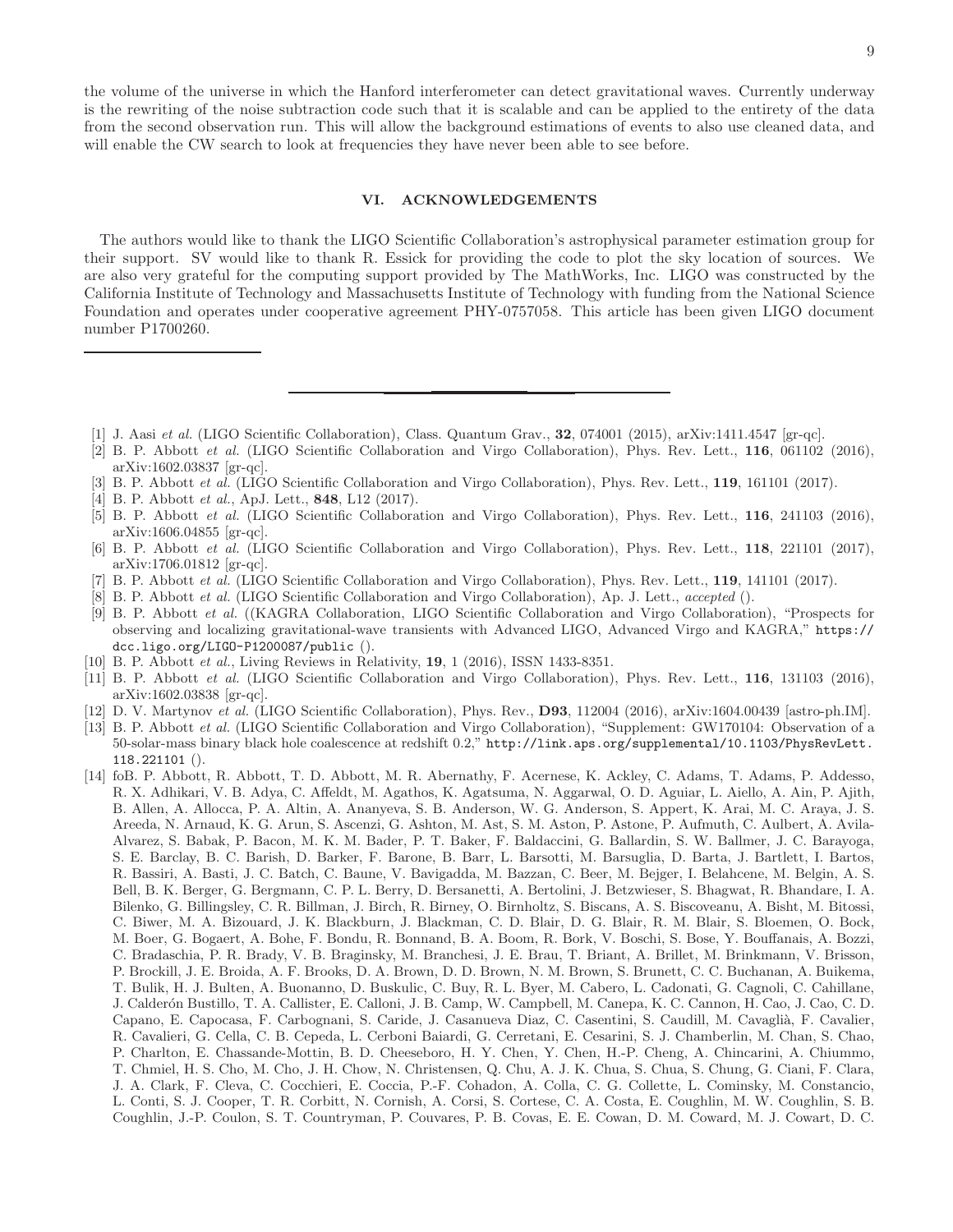the volume of the universe in which the Hanford interferometer can detect gravitational waves. Currently underway is the rewriting of the noise subtraction code such that it is scalable and can be applied to the entirety of the data from the second observation run. This will allow the background estimations of events to also use cleaned data, and will enable the CW search to look at frequencies they have never been able to see before.

#### VI. ACKNOWLEDGEMENTS

The authors would like to thank the LIGO Scientific Collaboration's astrophysical parameter estimation group for their support. SV would like to thank R. Essick for providing the code to plot the sky location of sources. We are also very grateful for the computing support provided by The MathWorks, Inc. LIGO was constructed by the California Institute of Technology and Massachusetts Institute of Technology with funding from the National Science Foundation and operates under cooperative agreement PHY-0757058. This article has been given LIGO document number P1700260.

- [1] J. Aasi et al. (LIGO Scientific Collaboration), Class. Quantum Grav., 32, 074001 (2015), arXiv:1411.4547 [gr-qc].
- [2] B. P. Abbott et al. (LIGO Scientific Collaboration and Virgo Collaboration), Phys. Rev. Lett., 116, 061102 (2016), arXiv:1602.03837 [gr-qc].
- [3] B. P. Abbott et al. (LIGO Scientific Collaboration and Virgo Collaboration), Phys. Rev. Lett., 119, 161101 (2017).
- [4] B. P. Abbott *et al.*, ApJ. Lett., **848**, L12 (2017).
- [5] B. P. Abbott et al. (LIGO Scientific Collaboration and Virgo Collaboration), Phys. Rev. Lett., 116, 241103 (2016), arXiv:1606.04855 [gr-qc].
- [6] B. P. Abbott et al. (LIGO Scientific Collaboration and Virgo Collaboration), Phys. Rev. Lett., 118, 221101 (2017), arXiv:1706.01812 [gr-qc].
- [7] B. P. Abbott et al. (LIGO Scientific Collaboration and Virgo Collaboration), Phys. Rev. Lett., 119, 141101 (2017).
- [8] B. P. Abbott et al. (LIGO Scientific Collaboration and Virgo Collaboration), Ap. J. Lett., accepted ().
- [9] B. P. Abbott et al. ((KAGRA Collaboration, LIGO Scientific Collaboration and Virgo Collaboration), "Prospects for observing and localizing gravitational-wave transients with Advanced LIGO, Advanced Virgo and KAGRA," https:// dcc.ligo.org/LIGO-P1200087/public ().
- [10] B. P. Abbott et al., Living Reviews in Relativity, 19, 1 (2016), ISSN 1433-8351.
- [11] B. P. Abbott et al. (LIGO Scientific Collaboration and Virgo Collaboration), Phys. Rev. Lett., 116, 131103 (2016), arXiv:1602.03838 [gr-qc].
- [12] D. V. Martynov et al. (LIGO Scientific Collaboration), Phys. Rev., D93, 112004 (2016), arXiv:1604.00439 [astro-ph.IM].
- [13] B. P. Abbott et al. (LIGO Scientific Collaboration and Virgo Collaboration), "Supplement: GW170104: Observation of a 50-solar-mass binary black hole coalescence at redshift 0.2," http://link.aps.org/supplemental/10.1103/PhysRevLett. 118.221101 ().
- [14] foB. P. Abbott, R. Abbott, T. D. Abbott, M. R. Abernathy, F. Acernese, K. Ackley, C. Adams, T. Adams, P. Addesso, R. X. Adhikari, V. B. Adya, C. Affeldt, M. Agathos, K. Agatsuma, N. Aggarwal, O. D. Aguiar, L. Aiello, A. Ain, P. Ajith, B. Allen, A. Allocca, P. A. Altin, A. Ananyeva, S. B. Anderson, W. G. Anderson, S. Appert, K. Arai, M. C. Araya, J. S. Areeda, N. Arnaud, K. G. Arun, S. Ascenzi, G. Ashton, M. Ast, S. M. Aston, P. Astone, P. Aufmuth, C. Aulbert, A. Avila-Alvarez, S. Babak, P. Bacon, M. K. M. Bader, P. T. Baker, F. Baldaccini, G. Ballardin, S. W. Ballmer, J. C. Barayoga, S. E. Barclay, B. C. Barish, D. Barker, F. Barone, B. Barr, L. Barsotti, M. Barsuglia, D. Barta, J. Bartlett, I. Bartos, R. Bassiri, A. Basti, J. C. Batch, C. Baune, V. Bavigadda, M. Bazzan, C. Beer, M. Bejger, I. Belahcene, M. Belgin, A. S. Bell, B. K. Berger, G. Bergmann, C. P. L. Berry, D. Bersanetti, A. Bertolini, J. Betzwieser, S. Bhagwat, R. Bhandare, I. A. Bilenko, G. Billingsley, C. R. Billman, J. Birch, R. Birney, O. Birnholtz, S. Biscans, A. S. Biscoveanu, A. Bisht, M. Bitossi, C. Biwer, M. A. Bizouard, J. K. Blackburn, J. Blackman, C. D. Blair, D. G. Blair, R. M. Blair, S. Bloemen, O. Bock, M. Boer, G. Bogaert, A. Bohe, F. Bondu, R. Bonnand, B. A. Boom, R. Bork, V. Boschi, S. Bose, Y. Bouffanais, A. Bozzi, C. Bradaschia, P. R. Brady, V. B. Braginsky, M. Branchesi, J. E. Brau, T. Briant, A. Brillet, M. Brinkmann, V. Brisson, P. Brockill, J. E. Broida, A. F. Brooks, D. A. Brown, D. D. Brown, N. M. Brown, S. Brunett, C. C. Buchanan, A. Buikema, T. Bulik, H. J. Bulten, A. Buonanno, D. Buskulic, C. Buy, R. L. Byer, M. Cabero, L. Cadonati, G. Cagnoli, C. Cahillane, J. Calderón Bustillo, T. A. Callister, E. Calloni, J. B. Camp, W. Campbell, M. Canepa, K. C. Cannon, H. Cao, J. Cao, C. D. Capano, E. Capocasa, F. Carbognani, S. Caride, J. Casanueva Diaz, C. Casentini, S. Caudill, M. Cavaglià, F. Cavalier, R. Cavalieri, G. Cella, C. B. Cepeda, L. Cerboni Baiardi, G. Cerretani, E. Cesarini, S. J. Chamberlin, M. Chan, S. Chao, P. Charlton, E. Chassande-Mottin, B. D. Cheeseboro, H. Y. Chen, Y. Chen, H.-P. Cheng, A. Chincarini, A. Chiummo, T. Chmiel, H. S. Cho, M. Cho, J. H. Chow, N. Christensen, Q. Chu, A. J. K. Chua, S. Chua, S. Chung, G. Ciani, F. Clara, J. A. Clark, F. Cleva, C. Cocchieri, E. Coccia, P.-F. Cohadon, A. Colla, C. G. Collette, L. Cominsky, M. Constancio, L. Conti, S. J. Cooper, T. R. Corbitt, N. Cornish, A. Corsi, S. Cortese, C. A. Costa, E. Coughlin, M. W. Coughlin, S. B. Coughlin, J.-P. Coulon, S. T. Countryman, P. Couvares, P. B. Covas, E. E. Cowan, D. M. Coward, M. J. Cowart, D. C.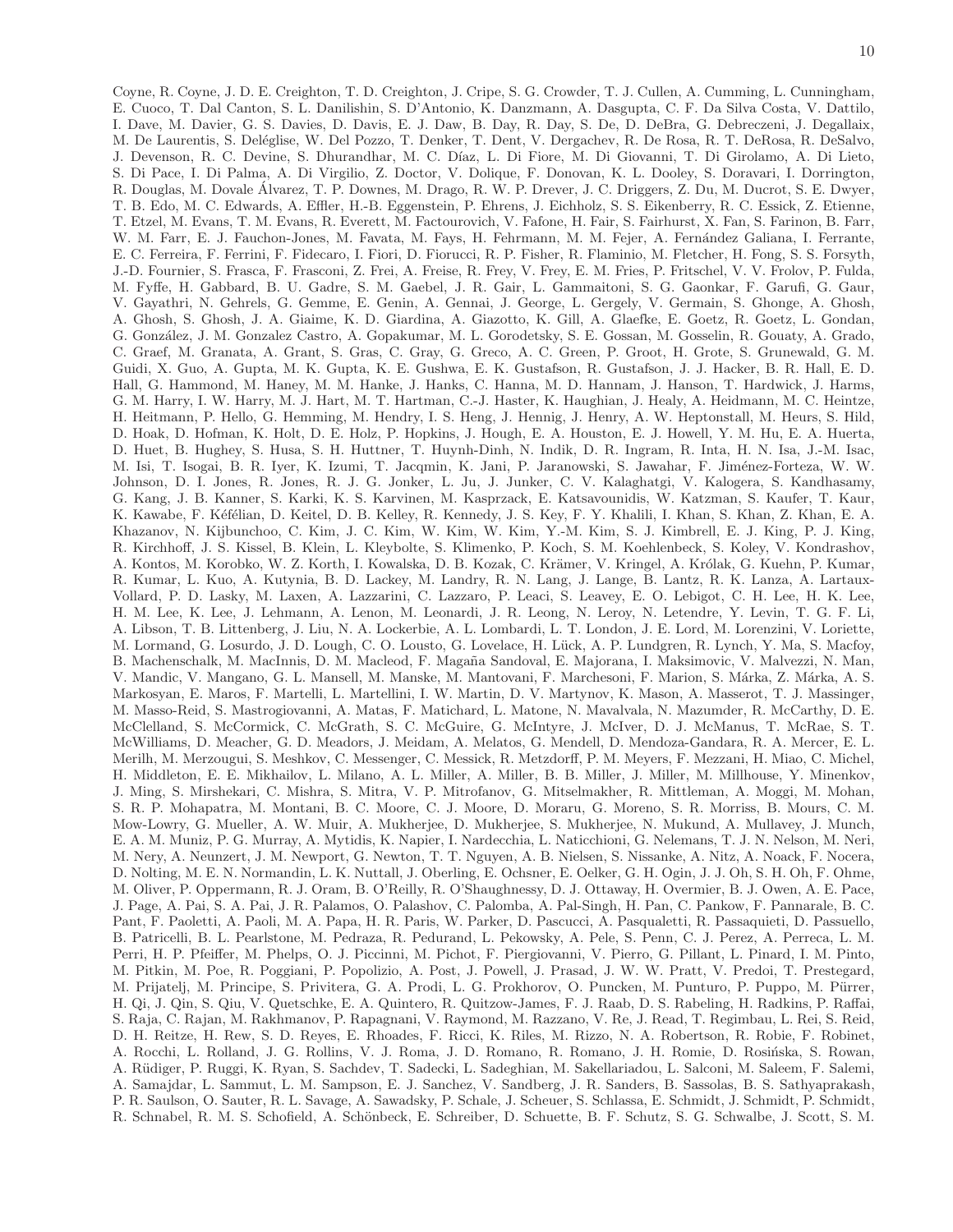Coyne, R. Coyne, J. D. E. Creighton, T. D. Creighton, J. Cripe, S. G. Crowder, T. J. Cullen, A. Cumming, L. Cunningham, E. Cuoco, T. Dal Canton, S. L. Danilishin, S. D'Antonio, K. Danzmann, A. Dasgupta, C. F. Da Silva Costa, V. Dattilo, I. Dave, M. Davier, G. S. Davies, D. Davis, E. J. Daw, B. Day, R. Day, S. De, D. DeBra, G. Debreczeni, J. Degallaix, M. De Laurentis, S. Deléglise, W. Del Pozzo, T. Denker, T. Dent, V. Dergachev, R. De Rosa, R. T. DeRosa, R. DeSalvo, J. Devenson, R. C. Devine, S. Dhurandhar, M. C. Díaz, L. Di Fiore, M. Di Giovanni, T. Di Girolamo, A. Di Lieto, S. Di Pace, I. Di Palma, A. Di Virgilio, Z. Doctor, V. Dolique, F. Donovan, K. L. Dooley, S. Doravari, I. Dorrington, R. Douglas, M. Dovale Álvarez, T. P. Downes, M. Drago, R. W. P. Drever, J. C. Driggers, Z. Du, M. Ducrot, S. E. Dwyer, T. B. Edo, M. C. Edwards, A. Effler, H.-B. Eggenstein, P. Ehrens, J. Eichholz, S. S. Eikenberry, R. C. Essick, Z. Etienne, T. Etzel, M. Evans, T. M. Evans, R. Everett, M. Factourovich, V. Fafone, H. Fair, S. Fairhurst, X. Fan, S. Farinon, B. Farr, W. M. Farr, E. J. Fauchon-Jones, M. Favata, M. Favs, H. Fehrmann, M. M. Fejer, A. Fernández Galiana, I. Ferrante, E. C. Ferreira, F. Ferrini, F. Fidecaro, I. Fiori, D. Fiorucci, R. P. Fisher, R. Flaminio, M. Fletcher, H. Fong, S. S. Forsyth, J.-D. Fournier, S. Frasca, F. Frasconi, Z. Frei, A. Freise, R. Frey, V. Frey, E. M. Fries, P. Fritschel, V. V. Frolov, P. Fulda, M. Fyffe, H. Gabbard, B. U. Gadre, S. M. Gaebel, J. R. Gair, L. Gammaitoni, S. G. Gaonkar, F. Garufi, G. Gaur, V. Gayathri, N. Gehrels, G. Gemme, E. Genin, A. Gennai, J. George, L. Gergely, V. Germain, S. Ghonge, A. Ghosh, A. Ghosh, S. Ghosh, J. A. Giaime, K. D. Giardina, A. Giazotto, K. Gill, A. Glaefke, E. Goetz, R. Goetz, L. Gondan, G. Gonz´alez, J. M. Gonzalez Castro, A. Gopakumar, M. L. Gorodetsky, S. E. Gossan, M. Gosselin, R. Gouaty, A. Grado, C. Graef, M. Granata, A. Grant, S. Gras, C. Gray, G. Greco, A. C. Green, P. Groot, H. Grote, S. Grunewald, G. M. Guidi, X. Guo, A. Gupta, M. K. Gupta, K. E. Gushwa, E. K. Gustafson, R. Gustafson, J. J. Hacker, B. R. Hall, E. D. Hall, G. Hammond, M. Haney, M. M. Hanke, J. Hanks, C. Hanna, M. D. Hannam, J. Hanson, T. Hardwick, J. Harms, G. M. Harry, I. W. Harry, M. J. Hart, M. T. Hartman, C.-J. Haster, K. Haughian, J. Healy, A. Heidmann, M. C. Heintze, H. Heitmann, P. Hello, G. Hemming, M. Hendry, I. S. Heng, J. Hennig, J. Henry, A. W. Heptonstall, M. Heurs, S. Hild, D. Hoak, D. Hofman, K. Holt, D. E. Holz, P. Hopkins, J. Hough, E. A. Houston, E. J. Howell, Y. M. Hu, E. A. Huerta, D. Huet, B. Hughey, S. Husa, S. H. Huttner, T. Huynh-Dinh, N. Indik, D. R. Ingram, R. Inta, H. N. Isa, J.-M. Isac, M. Isi, T. Isogai, B. R. Iyer, K. Izumi, T. Jacqmin, K. Jani, P. Jaranowski, S. Jawahar, F. Jim´enez-Forteza, W. W. Johnson, D. I. Jones, R. Jones, R. J. G. Jonker, L. Ju, J. Junker, C. V. Kalaghatgi, V. Kalogera, S. Kandhasamy, G. Kang, J. B. Kanner, S. Karki, K. S. Karvinen, M. Kasprzack, E. Katsavounidis, W. Katzman, S. Kaufer, T. Kaur, K. Kawabe, F. Kéfélian, D. Keitel, D. B. Kelley, R. Kennedy, J. S. Key, F. Y. Khalili, I. Khan, S. Khan, Z. Khan, E. A. Khazanov, N. Kijbunchoo, C. Kim, J. C. Kim, W. Kim, W. Kim, Y.-M. Kim, S. J. Kimbrell, E. J. King, P. J. King, R. Kirchhoff, J. S. Kissel, B. Klein, L. Kleybolte, S. Klimenko, P. Koch, S. M. Koehlenbeck, S. Koley, V. Kondrashov, A. Kontos, M. Korobko, W. Z. Korth, I. Kowalska, D. B. Kozak, C. Krämer, V. Kringel, A. Królak, G. Kuehn, P. Kumar, R. Kumar, L. Kuo, A. Kutynia, B. D. Lackey, M. Landry, R. N. Lang, J. Lange, B. Lantz, R. K. Lanza, A. Lartaux-Vollard, P. D. Lasky, M. Laxen, A. Lazzarini, C. Lazzaro, P. Leaci, S. Leavey, E. O. Lebigot, C. H. Lee, H. K. Lee, H. M. Lee, K. Lee, J. Lehmann, A. Lenon, M. Leonardi, J. R. Leong, N. Leroy, N. Letendre, Y. Levin, T. G. F. Li, A. Libson, T. B. Littenberg, J. Liu, N. A. Lockerbie, A. L. Lombardi, L. T. London, J. E. Lord, M. Lorenzini, V. Loriette, M. Lormand, G. Losurdo, J. D. Lough, C. O. Lousto, G. Lovelace, H. Lück, A. P. Lundgren, R. Lynch, Y. Ma, S. Macfoy, B. Machenschalk, M. MacInnis, D. M. Macleod, F. Magaña Sandoval, E. Majorana, I. Maksimovic, V. Malvezzi, N. Man, V. Mandic, V. Mangano, G. L. Mansell, M. Manske, M. Mantovani, F. Marchesoni, F. Marion, S. Márka, Z. Márka, A. S. Markosyan, E. Maros, F. Martelli, L. Martellini, I. W. Martin, D. V. Martynov, K. Mason, A. Masserot, T. J. Massinger, M. Masso-Reid, S. Mastrogiovanni, A. Matas, F. Matichard, L. Matone, N. Mavalvala, N. Mazumder, R. McCarthy, D. E. McClelland, S. McCormick, C. McGrath, S. C. McGuire, G. McIntyre, J. McIver, D. J. McManus, T. McRae, S. T. McWilliams, D. Meacher, G. D. Meadors, J. Meidam, A. Melatos, G. Mendell, D. Mendoza-Gandara, R. A. Mercer, E. L. Merilh, M. Merzougui, S. Meshkov, C. Messenger, C. Messick, R. Metzdorff, P. M. Meyers, F. Mezzani, H. Miao, C. Michel, H. Middleton, E. E. Mikhailov, L. Milano, A. L. Miller, A. Miller, B. B. Miller, J. Miller, M. Millhouse, Y. Minenkov, J. Ming, S. Mirshekari, C. Mishra, S. Mitra, V. P. Mitrofanov, G. Mitselmakher, R. Mittleman, A. Moggi, M. Mohan, S. R. P. Mohapatra, M. Montani, B. C. Moore, C. J. Moore, D. Moraru, G. Moreno, S. R. Morriss, B. Mours, C. M. Mow-Lowry, G. Mueller, A. W. Muir, A. Mukherjee, D. Mukherjee, S. Mukherjee, N. Mukund, A. Mullavey, J. Munch, E. A. M. Muniz, P. G. Murray, A. Mytidis, K. Napier, I. Nardecchia, L. Naticchioni, G. Nelemans, T. J. N. Nelson, M. Neri, M. Nery, A. Neunzert, J. M. Newport, G. Newton, T. T. Nguyen, A. B. Nielsen, S. Nissanke, A. Nitz, A. Noack, F. Nocera, D. Nolting, M. E. N. Normandin, L. K. Nuttall, J. Oberling, E. Ochsner, E. Oelker, G. H. Ogin, J. J. Oh, S. H. Oh, F. Ohme, M. Oliver, P. Oppermann, R. J. Oram, B. O'Reilly, R. O'Shaughnessy, D. J. Ottaway, H. Overmier, B. J. Owen, A. E. Pace, J. Page, A. Pai, S. A. Pai, J. R. Palamos, O. Palashov, C. Palomba, A. Pal-Singh, H. Pan, C. Pankow, F. Pannarale, B. C. Pant, F. Paoletti, A. Paoli, M. A. Papa, H. R. Paris, W. Parker, D. Pascucci, A. Pasqualetti, R. Passaquieti, D. Passuello, B. Patricelli, B. L. Pearlstone, M. Pedraza, R. Pedurand, L. Pekowsky, A. Pele, S. Penn, C. J. Perez, A. Perreca, L. M. Perri, H. P. Pfeiffer, M. Phelps, O. J. Piccinni, M. Pichot, F. Piergiovanni, V. Pierro, G. Pillant, L. Pinard, I. M. Pinto, M. Pitkin, M. Poe, R. Poggiani, P. Popolizio, A. Post, J. Powell, J. Prasad, J. W. W. Pratt, V. Predoi, T. Prestegard, M. Prijatelj, M. Principe, S. Privitera, G. A. Prodi, L. G. Prokhorov, O. Puncken, M. Punturo, P. Puppo, M. Pürrer, H. Qi, J. Qin, S. Qiu, V. Quetschke, E. A. Quintero, R. Quitzow-James, F. J. Raab, D. S. Rabeling, H. Radkins, P. Raffai, S. Raja, C. Rajan, M. Rakhmanov, P. Rapagnani, V. Raymond, M. Razzano, V. Re, J. Read, T. Regimbau, L. Rei, S. Reid, D. H. Reitze, H. Rew, S. D. Reyes, E. Rhoades, F. Ricci, K. Riles, M. Rizzo, N. A. Robertson, R. Robie, F. Robinet, A. Rocchi, L. Rolland, J. G. Rollins, V. J. Roma, J. D. Romano, R. Romano, J. H. Romie, D. Rosińska, S. Rowan, A. Rüdiger, P. Ruggi, K. Ryan, S. Sachdev, T. Sadecki, L. Sadeghian, M. Sakellariadou, L. Salconi, M. Saleem, F. Salemi, A. Samajdar, L. Sammut, L. M. Sampson, E. J. Sanchez, V. Sandberg, J. R. Sanders, B. Sassolas, B. S. Sathyaprakash, P. R. Saulson, O. Sauter, R. L. Savage, A. Sawadsky, P. Schale, J. Scheuer, S. Schlassa, E. Schmidt, J. Schmidt, P. Schmidt, R. Schnabel, R. M. S. Schofield, A. Schönbeck, E. Schreiber, D. Schuette, B. F. Schutz, S. G. Schwalbe, J. Scott, S. M.